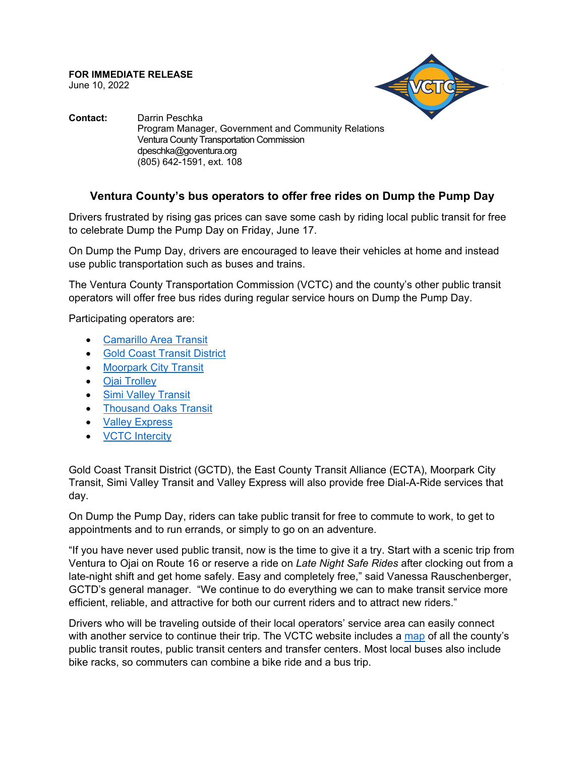**FOR IMMEDIATE RELEASE** June 10, 2022



**Contact:** Darrin Peschka Program Manager, Government and Community Relations Ventura County Transportation Commission dpeschka@goventura.org (805) 642-1591, ext. 108

## **Ventura County's bus operators to offer free rides on Dump the Pump Day**

Drivers frustrated by rising gas prices can save some cash by riding local public transit for free to celebrate Dump the Pump Day on Friday, June 17.

On Dump the Pump Day, drivers are encouraged to leave their vehicles at home and instead use public transportation such as buses and trains.

The Ventura County Transportation Commission (VCTC) and the county's other public transit operators will offer free bus rides during regular service hours on Dump the Pump Day.

Participating operators are:

- [Camarillo Area Transit](http://www.camarillotransit.com/)
- [Gold Coast Transit District](https://www.gctd.org/)
- [Moorpark City Transit](https://www.moorparkca.gov/223/Transportation)
- [Ojai Trolley](https://ojaitrolley.com/)
- [Simi Valley Transit](https://www.simivalley.org/departments/public-works/simi-valley-transit)
- [Thousand Oaks Transit](https://www.toaks.org/departments/public-works/transit)
- [Valley Express](http://www.valleyexpressbus.org/)
- [VCTC Intercity](https://www.goventura.org/vctc-transit/routes-schedules/)

Gold Coast Transit District (GCTD), the East County Transit Alliance (ECTA), Moorpark City Transit, Simi Valley Transit and Valley Express will also provide free Dial-A-Ride services that day.

On Dump the Pump Day, riders can take public transit for free to commute to work, to get to appointments and to run errands, or simply to go on an adventure.

"If you have never used public transit, now is the time to give it a try. Start with a scenic trip from Ventura to Ojai on Route 16 or reserve a ride on *Late Night Safe Rides* after clocking out from a late-night shift and get home safely. Easy and completely free," said Vanessa Rauschenberger, GCTD's general manager. "We continue to do everything we can to make transit service more efficient, reliable, and attractive for both our current riders and to attract new riders."

Drivers who will be traveling outside of their local operators' service area can easily connect with another service to continue their trip. The VCTC website includes a [map](https://www.goventura.org/vctc-transit/local-bus/) of all the county's public transit routes, public transit centers and transfer centers. Most local buses also include bike racks, so commuters can combine a bike ride and a bus trip.